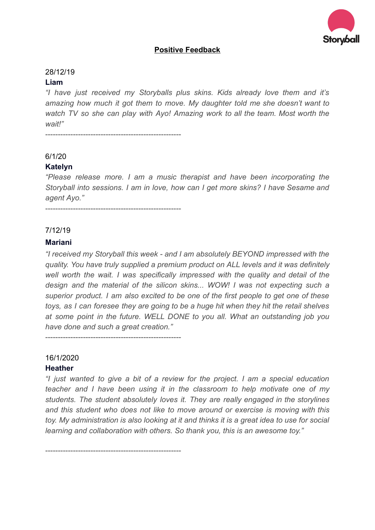

# **Positive Feedback**

#### 28/12/19

#### **Liam**

*"I have just received my Storyballs plus skins. Kids already love them and it's amazing how much it got them to move. My daughter told me she doesn't want to watch TV so she can play with Ayo! Amazing work to all the team. Most worth the wait!"* 

------------------------------------------------------

## 6/1/20

#### **Katelyn**

*"Please release more. I am a music therapist and have been incorporating the Storyball into sessions. I am in love, how can I get more skins? I have Sesame and agent Ayo."* 

------------------------------------------------------

#### 7/12/19

#### **Mariani**

*"I received my Storyball this week - and I am absolutely BEYOND impressed with the quality. You have truly supplied a premium product on ALL levels and it was definitely well worth the wait. I was specifically impressed with the quality and detail of the design and the material of the silicon skins... WOW! I was not expecting such a superior product. I am also excited to be one of the first people to get one of these toys, as I can foresee they are going to be a huge hit when they hit the retail shelves at some point in the future. WELL DONE to you all. What an outstanding job you have done and such a great creation."* 

------------------------------------------------------

#### 16/1/2020

#### **Heather**

*"I just wanted to give a bit of a review for the project. I am a special education teacher and I have been using it in the classroom to help motivate one of my students. The student absolutely loves it. They are really engaged in the storylines and this student who does not like to move around or exercise is moving with this toy. My administration is also looking at it and thinks it is a great idea to use for social learning and collaboration with others. So thank you, this is an awesome toy."* 

------------------------------------------------------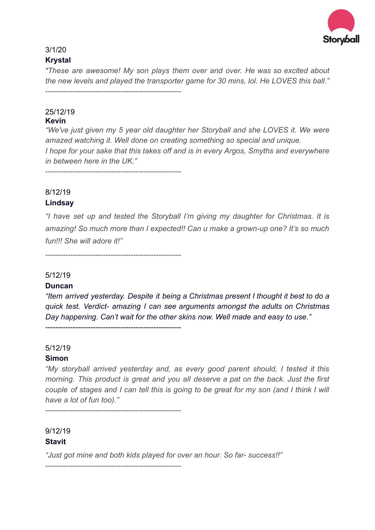

## 3/1/20

## **[Krystal](https://www.facebook.com/Krysemera)**

*" These are awesome! My son plays them over and over. He was so excited about the new levels and played the transporter game for 30 mins, lol. He LOVES this ball."*  ------------------------------------------------------

#### 25/12/19 **Kevin**

*"We've just given my 5 year old daughter her Storyball and she LOVES it. We were amazed watching it. Well done on creating something so special and unique. I hope for your sake that this takes off and is in every Argos, Smyths and everywhere in between here in the UK."* 

------------------------------------------------------

## 8/12/19 **[Lindsay](https://www.facebook.com/lindsay.tonner?__tn__=%2CdlC-R-R&eid=ARBTV5RcQPx4Iz2_G2vRLBbZ5MSYal5Jy2VJ4LcRf6eWj_oKFW73svpxkW111AWyxj6ctLT3-61AiGFN&hc_ref=ARQtqW3flMTy2O0Wng43k7fJ_na55z5p6wXaXhwapaVPZ_-kBT0Zs91W8D6ho3_X9TM)**

*"I have set up and tested the Storyball I'm giving my daughter for Christmas. It is amazing! So much more than I expected!! Can u make a grown-up one? It's so much fun!!! She will adore it!"* 

------------------------------------------------------

------------------------------------------------------

## 5/12/19

## **Duncan**

*"Item arrived yesterday. Despite it being a Christmas present I thought it best to do a quick test. Verdict- amazing I can see arguments amongst the adults on Christmas Day happening. Can't wait for the other skins now. Well made and easy to use."* 

## 5/12/19

## **Simon**

*"My storyball arrived yesterday and, as every good parent should, I tested it this morning. This product is great and you all deserve a pat on the back. Just the first couple of stages and I can tell this is going to be great for my son (and I think I will have a lot of fun too)."* 

------------------------------------------------------

# 9/12/19 **[Stavit](https://www.facebook.com/stavit.faingold?__tn__=%2CdlC-R-R&eid=ARAe8XM6aGuk2p-VPChWof-ZDbcVrfbqDcneoqdqXbD0NHTjRUy6JhYihUQQV95JjUsci3khYth0J_D3&hc_ref=ARQtiSszi3CmfH5igTgm03AokByxUKxON-Ra5FJJqRsnRBYWna6_kGyM-FYghrPa82I)**

*"Just got mine and both kids played for over an hour. So far- success!!"* 

------------------------------------------------------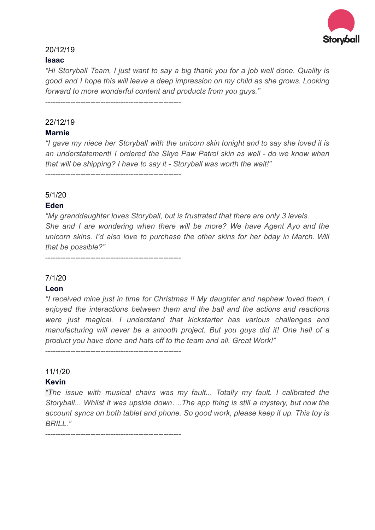

## 20/12/19

#### **Isaac**

*"Hi Storyball Team, I just want to say a big thank you for a job well done. Quality is good and I hope this will leave a deep impression on my child as she grows. Looking forward to more wonderful content and products from you guys."* 

------------------------------------------------------

------------------------------------------------------

## 22/12/19

#### **Marnie**

*"I gave my niece her Storyball with the unicorn skin tonight and to say she loved it is an understatement! I ordered the Skye Paw Patrol skin as well - do we know when that will be shipping? I have to say it - Storyball was worth the wait!"* 

5/1/20

## **Eden**

*"My granddaughter loves Storyball, but is frustrated that there are only 3 levels. She and I are wondering when there will be more? We have Agent Ayo and the unicorn skins. I'd also love to purchase the other skins for her bday in March. Will that be possible?"* 

------------------------------------------------------

## 7/1/20

#### **Leon**

*"I received mine just in time for Christmas !! My daughter and nephew loved them, I enjoyed the interactions between them and the ball and the actions and reactions were just magical. I understand that kickstarter has various challenges and manufacturing will never be a smooth project. But you guys did it! One hell of a product you have done and hats off to the team and all. Great Work!"* 

------------------------------------------------------

## 11/1/20

## **[Kevin](https://www.facebook.com/kdj84)**

*"T he issue with musical chairs was my fault... Totally my fault. I calibrated the Storyball... Whilst it was upside down….The app thing is still a mystery, but now the account syncs on both tablet and phone. So good work, please keep it up. This toy is BRILL."* 

------------------------------------------------------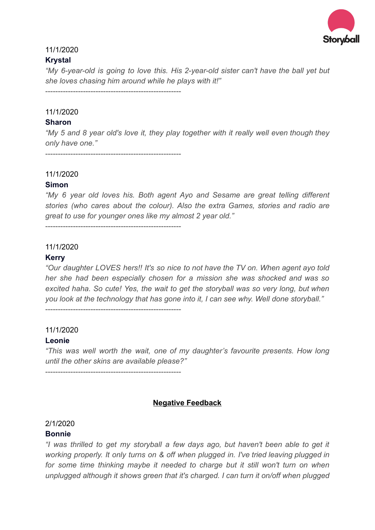

## 11/1/2020

#### **[Krystal](https://www.facebook.com/Krysemera)**

*"My 6-year-old is going to love this. His 2-year-old sister can't have the ball yet but she loves chasing him around while he plays with it!"* 

------------------------------------------------------

## 11/1/2020

## **[Sharon](https://www.facebook.com/sharon.woodhouse.9)**

*"My 5 and 8 year old's love it, they play together with it really well even though they only have one."* 

------------------------------------------------------

## 11/1/2020

#### **[Simon](https://www.facebook.com/simon.cook81)**

*"My 6 year old loves his. Both agent Ayo and Sesame are great telling different stories (who cares about the colour). Also the extra Games, stories and radio are great to use for younger ones like my almost 2 year old."* 

------------------------------------------------------

#### 11/1/2020

#### **[Kerry](https://www.facebook.com/kerry.penhaligon)**

*"Our daughter LOVES hers!! It's so nice to not have the TV on. When agent ayo told her she had been especially chosen for a mission she was shocked and was so excited haha. So cute! Yes, the wait to get the storyball was so very long, but when you look at the technology that has gone into it, I can see why. Well done storyball."* 

------------------------------------------------------

# 11/1/2020

## **[Leonie](https://www.facebook.com/leoniespackman)**

*"This was well worth the wait, one of my daughter's favourite presents. How long until the other skins are available please?"* 

------------------------------------------------------

# **Negative Feedback**

# 2/1/2020

## **Bonnie**

*"I was thrilled to get my storyball a few days ago, but haven't been able to get it working properly. It only turns on & off when plugged in. I've tried leaving plugged in*  for some time thinking maybe it needed to charge but it still won't turn on when *unplugged although it shows green that it's charged. I can turn it on/off when plugged*